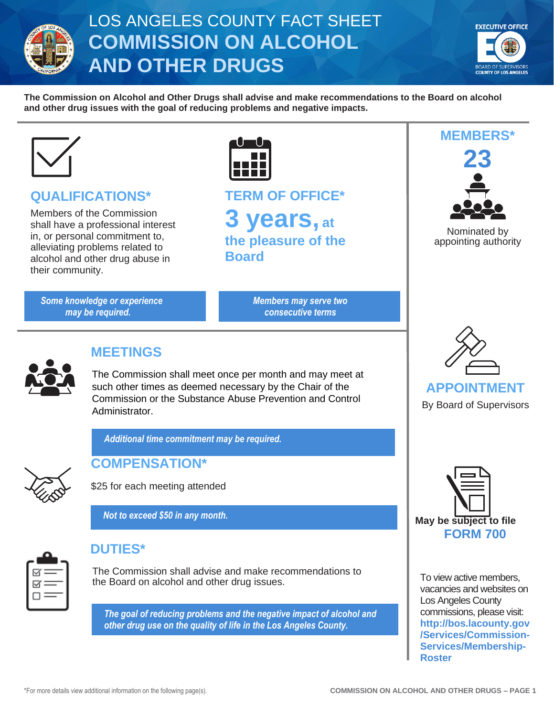

# LOS ANGELES COUNTY FACT SHEET **COMMISSION ON ALCOHOL AND OTHER DRUGS**



**MEMBERS\***

**23**

Nominated by appointing authority

**The Commission on Alcohol and Other Drugs shall advise and make recommendations to the Board on alcohol and other drug issues with the goal of reducing problems and negative impacts.**



#### **QUALIFICATIONS\***

Members of the Commission shall have a professional interest in, or personal commitment to, alleviating problems related to alcohol and other drug abuse in their community.

*Some knowledge or experience may be required.*



**TERM OF OFFICE\* 3 years, at the pleasure of the Board**

> *Members may serve two consecutive terms*



#### **MEETINGS**

The Commission shall meet once per month and may meet at such other times as deemed necessary by the Chair of the Commission or the Substance Abuse Prevention and Control Administrator.

*Additional time commitment may be required.*



**COMPENSATION\***



*Not to exceed \$50 in any month.*



### **DUTIES\***

The Commission shall advise and make recommendations to the Board on alcohol and other drug issues.

*The goal of reducing problems and the negative impact of alcohol and other drug use on the quality of life in the Los Angeles County.*



By Board of Supervisors



To view active members, vacancies and websites on Los Angeles County commissions, please visit: **[http://bos.lacounty.gov](http://bos.lacounty.gov/Services/Commission-Services/Membership-Roster) [/Services/Commission-](http://bos.lacounty.gov/Services/Commission-Services/Membership-Roster)[Services/Membership-](http://bos.lacounty.gov/Services/Commission-Services/Membership-Roster)[Roster](http://bos.lacounty.gov/Services/Commission-Services/Membership-Roster)**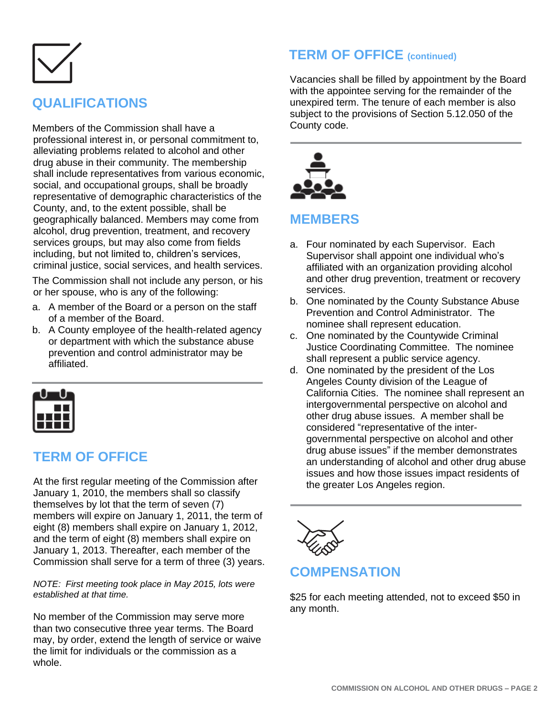# **QUALIFICATIONS**

Members of the Commission shall have a professional interest in, or personal commitment to, alleviating problems related to alcohol and other drug abuse in their community. The membership shall include representatives from various economic, social, and occupational groups, shall be broadly representative of demographic characteristics of the County, and, to the extent possible, shall be geographically balanced. Members may come from alcohol, drug prevention, treatment, and recovery services groups, but may also come from fields including, but not limited to, children's services, criminal justice, social services, and health services.

The Commission shall not include any person, or his or her spouse, who is any of the following:

- a. A member of the Board or a person on the staff of a member of the Board.
- b. A County employee of the health-related agency or department with which the substance abuse prevention and control administrator may be affiliated.



#### **TERM OF OFFICE**

At the first regular meeting of the Commission after January 1, 2010, the members shall so classify themselves by lot that the term of seven (7) members will expire on January 1, 2011, the term of eight (8) members shall expire on January 1, 2012, and the term of eight (8) members shall expire on January 1, 2013. Thereafter, each member of the Commission shall serve for a term of three (3) years.

#### *NOTE: First meeting took place in May 2015, lots were established at that time.*

No member of the Commission may serve more than two consecutive three year terms. The Board may, by order, extend the length of service or waive the limit for individuals or the commission as a whole.

# **TERM OF OFFICE (continued)**

Vacancies shall be filled by appointment by the Board with the appointee serving for the remainder of the unexpired term. The tenure of each member is also subject to the provisions of Section 5.12.050 of the County code.



#### **MEMBERS**

- a. Four nominated by each Supervisor. Each Supervisor shall appoint one individual who's affiliated with an organization providing alcohol and other drug prevention, treatment or recovery services.
- b. One nominated by the County Substance Abuse Prevention and Control Administrator. The nominee shall represent education.
- c. One nominated by the Countywide Criminal Justice Coordinating Committee. The nominee shall represent a public service agency.
- d. One nominated by the president of the Los Angeles County division of the League of California Cities. The nominee shall represent an intergovernmental perspective on alcohol and other drug abuse issues. A member shall be considered "representative of the intergovernmental perspective on alcohol and other drug abuse issues" if the member demonstrates an understanding of alcohol and other drug abuse issues and how those issues impact residents of the greater Los Angeles region.



#### **COMPENSATION**

\$25 for each meeting attended, not to exceed \$50 in any month.